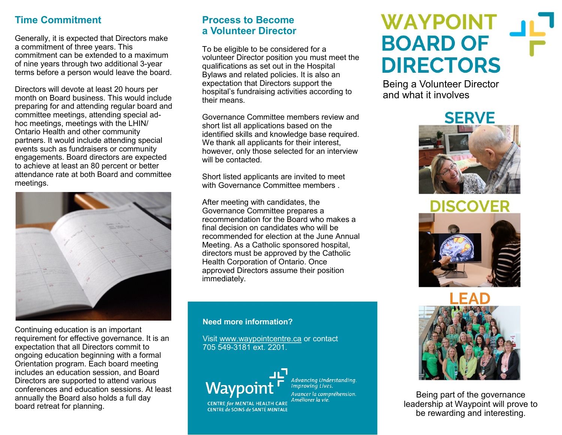### **Time Commitment**

Generally, it is expected that Directors make a commitment of three years. This commitment can be extended to a maximum of nine years through two additional 3-year terms before a person would leave the board.

Directors will devote at least 20 hours per month on Board business. This would include preparing for and attending regular board and committee meetings, attending special adhoc meetings, meetings with the LHIN/ Ontario Health and other community partners. It would include attending special events such as fundraisers or community engagements. Board directors are expected to achieve at least an 80 percent or better attendance rate at both Board and committee meetings.



Continuing education is an important requirement for effective governance. It is an expectation that all Directors commit to ongoing education beginning with a formal Orientation program. Each board meeting includes an education session, and Board Directors are supported to attend various conferences and education sessions. At least annually the Board also holds a full day board retreat for planning.

### **Process to Become a Volunteer Director**

To be eligible to be considered for a volunteer Director position you must meet the qualifications as set out in the Hospital Bylaws and related policies. It is also an expectation that Directors support the hospital's fundraising activities according to their means.

Governance Committee members review and short list all applications based on the identified skills and knowledge base required. We thank all applicants for their interest, however, only those selected for an interview will be contacted.

Short listed applicants are invited to meet with Governance Committee members.

After meeting with candidates, the Governance Committee prepares a recommendation for the Board who makes a final decision on candidates who will be recommended for election at the June Annual Meeting. As a Catholic sponsored hospital, directors must be approved by the Catholic Health Corporation of Ontario. Once approved Directors assume their position immediately.

#### **Need more information?**

Visit [www.waypointcentre.ca](http://www.waypointcentre.ca) or contact 705 549-3181 ext. 2201.



CENTRE de SOINS de SANTÉ MENTALE

Advancing Understanding.<br>Improving Lives. Avancer la compréhension. Améliorer la vie. **CENTRE for MENTAL HEALTH CARE** 

# **WAYPOINT BOARD OF DIRECTORS**

Being a Volunteer Director and what it involves



**DISCOVER** 





Being part of the governance leadership at Waypoint will prove to be rewarding and interesting.